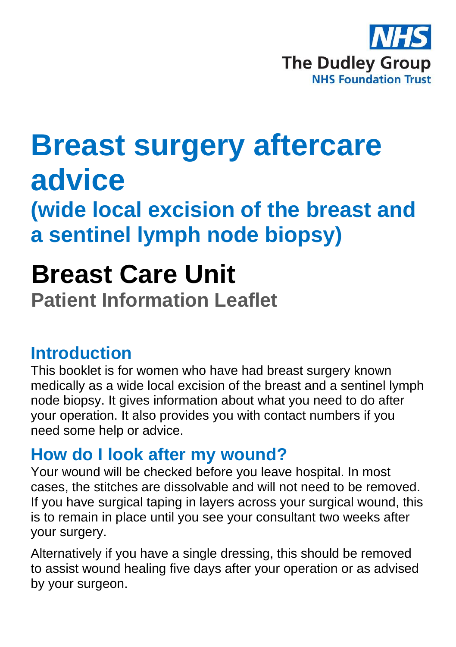

# **Breast surgery aftercare advice**

**(wide local excision of the breast and a sentinel lymph node biopsy)**

## **Breast Care Unit**

**Patient Information Leaflet**

#### **Introduction**

This booklet is for women who have had breast surgery known medically as a wide local excision of the breast and a sentinel lymph node biopsy. It gives information about what you need to do after your operation. It also provides you with contact numbers if you need some help or advice.

#### **How do I look after my wound?**

Your wound will be checked before you leave hospital. In most cases, the stitches are dissolvable and will not need to be removed. If you have surgical taping in layers across your surgical wound, this is to remain in place until you see your consultant two weeks after your surgery.

Alternatively if you have a single dressing, this should be removed to assist wound healing five days after your operation or as advised by your surgeon.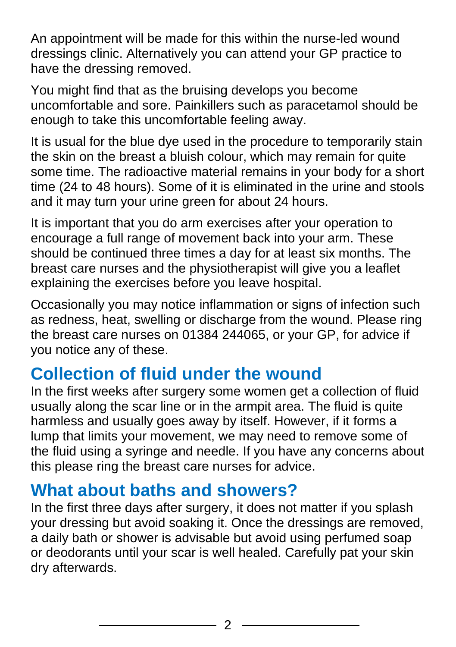An appointment will be made for this within the nurse-led wound dressings clinic. Alternatively you can attend your GP practice to have the dressing removed.

You might find that as the bruising develops you become uncomfortable and sore. Painkillers such as paracetamol should be enough to take this uncomfortable feeling away.

It is usual for the blue dye used in the procedure to temporarily stain the skin on the breast a bluish colour, which may remain for quite some time. The radioactive material remains in your body for a short time (24 to 48 hours). Some of it is eliminated in the urine and stools and it may turn your urine green for about 24 hours.

It is important that you do arm exercises after your operation to encourage a full range of movement back into your arm. These should be continued three times a day for at least six months. The breast care nurses and the physiotherapist will give you a leaflet explaining the exercises before you leave hospital.

Occasionally you may notice inflammation or signs of infection such as redness, heat, swelling or discharge from the wound. Please ring the breast care nurses on 01384 244065, or your GP, for advice if you notice any of these.

#### **Collection of fluid under the wound**

In the first weeks after surgery some women get a collection of fluid usually along the scar line or in the armpit area. The fluid is quite harmless and usually goes away by itself. However, if it forms a lump that limits your movement, we may need to remove some of the fluid using a syringe and needle. If you have any concerns about this please ring the breast care nurses for advice.

#### **What about baths and showers?**

In the first three days after surgery, it does not matter if you splash your dressing but avoid soaking it. Once the dressings are removed, a daily bath or shower is advisable but avoid using perfumed soap or deodorants until your scar is well healed. Carefully pat your skin dry afterwards.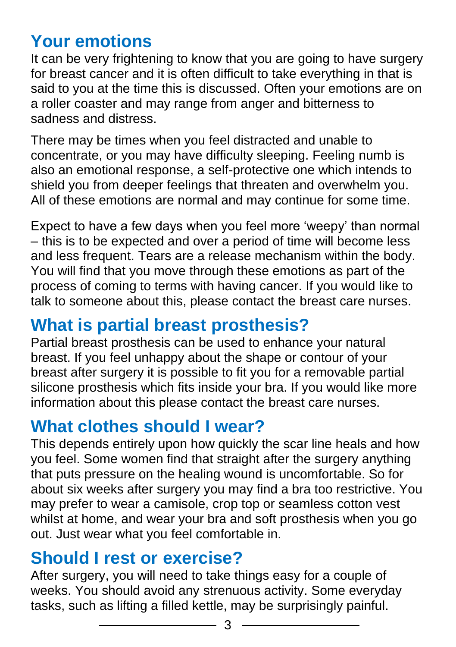## **Your emotions**

It can be very frightening to know that you are going to have surgery for breast cancer and it is often difficult to take everything in that is said to you at the time this is discussed. Often your emotions are on a roller coaster and may range from anger and bitterness to sadness and distress.

There may be times when you feel distracted and unable to concentrate, or you may have difficulty sleeping. Feeling numb is also an emotional response, a self-protective one which intends to shield you from deeper feelings that threaten and overwhelm you. All of these emotions are normal and may continue for some time.

Expect to have a few days when you feel more 'weepy' than normal – this is to be expected and over a period of time will become less and less frequent. Tears are a release mechanism within the body. You will find that you move through these emotions as part of the process of coming to terms with having cancer. If you would like to talk to someone about this, please contact the breast care nurses.

#### **What is partial breast prosthesis?**

Partial breast prosthesis can be used to enhance your natural breast. If you feel unhappy about the shape or contour of your breast after surgery it is possible to fit you for a removable partial silicone prosthesis which fits inside your bra. If you would like more information about this please contact the breast care nurses.

#### **What clothes should I wear?**

This depends entirely upon how quickly the scar line heals and how you feel. Some women find that straight after the surgery anything that puts pressure on the healing wound is uncomfortable. So for about six weeks after surgery you may find a bra too restrictive. You may prefer to wear a camisole, crop top or seamless cotton vest whilst at home, and wear your bra and soft prosthesis when you go out. Just wear what you feel comfortable in.

#### **Should I rest or exercise?**

After surgery, you will need to take things easy for a couple of weeks. You should avoid any strenuous activity. Some everyday tasks, such as lifting a filled kettle, may be surprisingly painful.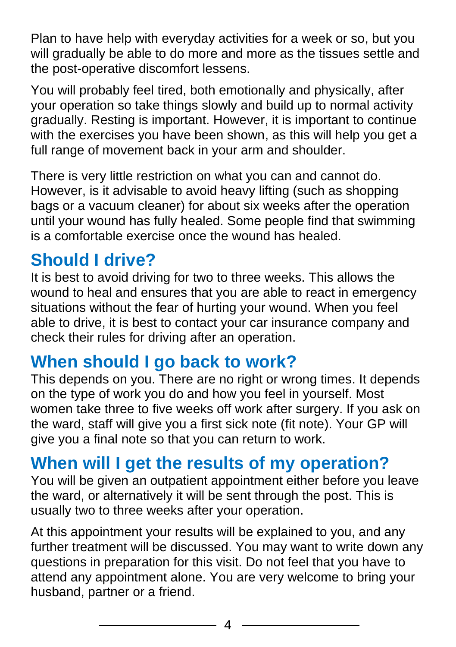Plan to have help with everyday activities for a week or so, but you will gradually be able to do more and more as the tissues settle and the post-operative discomfort lessens.

You will probably feel tired, both emotionally and physically, after your operation so take things slowly and build up to normal activity gradually. Resting is important. However, it is important to continue with the exercises you have been shown, as this will help you get a full range of movement back in your arm and shoulder.

There is very little restriction on what you can and cannot do. However, is it advisable to avoid heavy lifting (such as shopping bags or a vacuum cleaner) for about six weeks after the operation until your wound has fully healed. Some people find that swimming is a comfortable exercise once the wound has healed.

#### **Should I drive?**

It is best to avoid driving for two to three weeks. This allows the wound to heal and ensures that you are able to react in emergency situations without the fear of hurting your wound. When you feel able to drive, it is best to contact your car insurance company and check their rules for driving after an operation.

## **When should I go back to work?**

This depends on you. There are no right or wrong times. It depends on the type of work you do and how you feel in yourself. Most women take three to five weeks off work after surgery. If you ask on the ward, staff will give you a first sick note (fit note). Your GP will give you a final note so that you can return to work.

#### **When will I get the results of my operation?**

You will be given an outpatient appointment either before you leave the ward, or alternatively it will be sent through the post. This is usually two to three weeks after your operation.

At this appointment your results will be explained to you, and any further treatment will be discussed. You may want to write down any questions in preparation for this visit. Do not feel that you have to attend any appointment alone. You are very welcome to bring your husband, partner or a friend.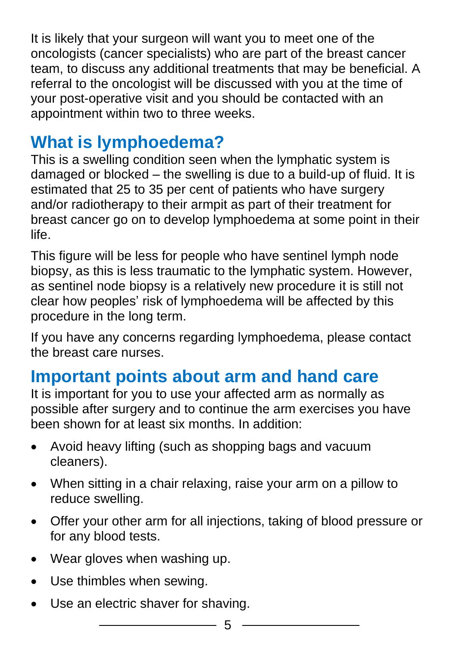It is likely that your surgeon will want you to meet one of the oncologists (cancer specialists) who are part of the breast cancer team, to discuss any additional treatments that may be beneficial. A referral to the oncologist will be discussed with you at the time of your post-operative visit and you should be contacted with an appointment within two to three weeks.

## **What is lymphoedema?**

This is a swelling condition seen when the lymphatic system is damaged or blocked – the swelling is due to a build-up of fluid. It is estimated that 25 to 35 per cent of patients who have surgery and/or radiotherapy to their armpit as part of their treatment for breast cancer go on to develop lymphoedema at some point in their life.

This figure will be less for people who have sentinel lymph node biopsy, as this is less traumatic to the lymphatic system. However, as sentinel node biopsy is a relatively new procedure it is still not clear how peoples' risk of lymphoedema will be affected by this procedure in the long term.

If you have any concerns regarding lymphoedema, please contact the breast care nurses.

## **Important points about arm and hand care**

It is important for you to use your affected arm as normally as possible after surgery and to continue the arm exercises you have been shown for at least six months. In addition:

- Avoid heavy lifting (such as shopping bags and vacuum cleaners).
- When sitting in a chair relaxing, raise your arm on a pillow to reduce swelling.
- Offer your other arm for all injections, taking of blood pressure or for any blood tests.
- Wear gloves when washing up.
- Use thimbles when sewing.
- Use an electric shaver for shaving.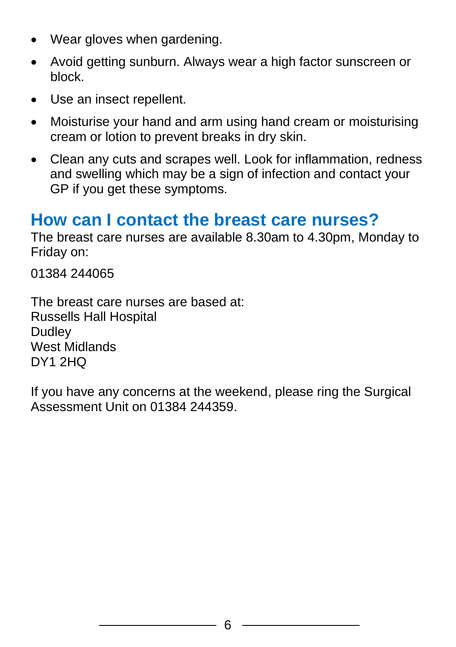- Wear gloves when gardening.
- Avoid getting sunburn. Always wear a high factor sunscreen or block.
- Use an insect repellent.
- Moisturise your hand and arm using hand cream or moisturising cream or lotion to prevent breaks in dry skin.
- Clean any cuts and scrapes well. Look for inflammation, redness and swelling which may be a sign of infection and contact your GP if you get these symptoms.

#### **How can I contact the breast care nurses?**

The breast care nurses are available 8.30am to 4.30pm, Monday to Friday on:

01384 244065

The breast care nurses are based at: Russells Hall Hospital **Dudley** West Midlands DY1 2HQ

If you have any concerns at the weekend, please ring the Surgical Assessment Unit on 01384 244359.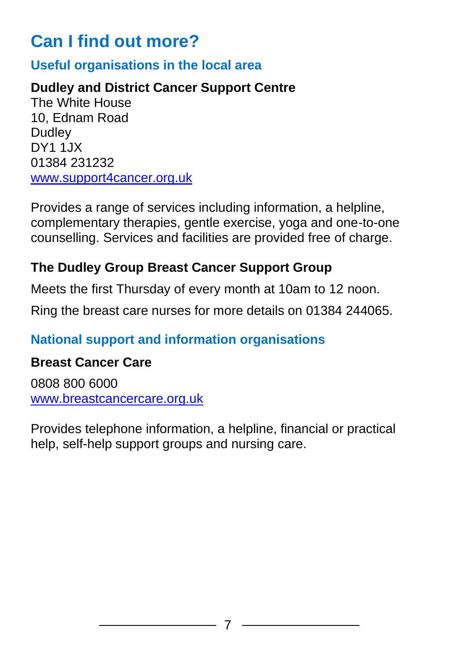## **Can I find out more?**

#### **Useful organisations in the local area**

#### **Dudley and District Cancer Support Centre**

The White House 10, Ednam Road **Dudley** DY1 1JX 01384 231232 [www.support4cancer.org.uk](http://www.support4cancer.org.uk/)

Provides a range of services including information, a helpline, complementary therapies, gentle exercise, yoga and one-to-one counselling. Services and facilities are provided free of charge.

#### **The Dudley Group Breast Cancer Support Group**

Meets the first Thursday of every month at 10am to 12 noon.

Ring the breast care nurses for more details on 01384 244065.

#### **National support and information organisations**

#### **Breast Cancer Care**

0808 800 6000 [www.breastcancercare.org.uk](http://www.breastcancercare.org.uk/)

Provides telephone information, a helpline, financial or practical help, self-help support groups and nursing care.